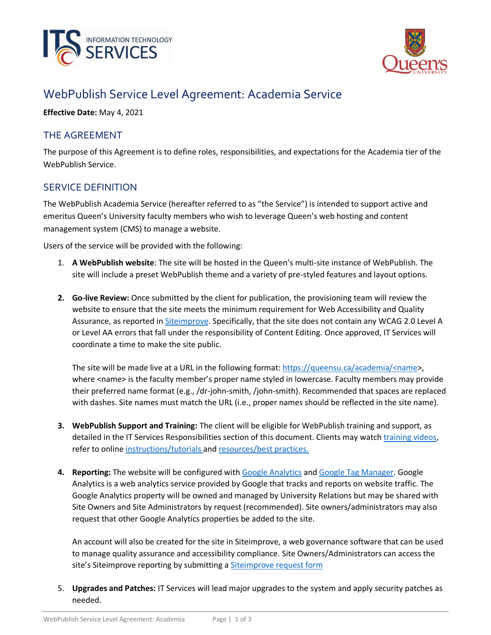



# WebPublish Service Level Agreement: Academia Service

**Effective Date:** May 4, 2021

# THE AGREEMENT

The purpose of this Agreement is to define roles, responsibilities, and expectations for the Academia tier of the WebPublish Service.

## SERVICE DEFINITION

The WebPublish Academia Service (hereafter referred to as "the Service") is intended to support active and emeritus Queen's University faculty members who wish to leverage Queen's web hosting and content management system (CMS) to manage a website.

Users of the service will be provided with the following:

- 1. **A WebPublish website**: The site will be hosted in the Queen's multi-site instance of WebPublish. The site will include a preset WebPublish theme and a variety of pre-styled features and layout options.
- **2. Go-live Review:** Once submitted by the client for publication, the provisioning team will review the website to ensure that the site meets the minimum requirement for Web Accessibility and Quality Assurance, as reported in **Siteimprove**. Specifically, that the site does not contain any WCAG 2.0 Level A or Level AA errors that fall under the responsibility of Content Editing. Once approved, IT Services will coordinate a time to make the site public.

The site will be made live at a URL in the following format[: https://queensu.ca/academia/<name>](https://queensu.ca/academia/%3cname), where <name> is the faculty member's proper name styled in lowercase. Faculty members may provide their preferred name format (e.g., /dr-john-smith, /john-smith). Recommended that spaces are replaced with dashes. Site names must match the URL (i.e., proper names should be reflected in the site name).

- **3. WebPublish Support and Training:** The client will be eligible for WebPublish training and support, as detailed in the IT Services Responsibilities section of this document. Clients may watch [training](https://www.queensu.ca/webpublish/training/videos) videos, refer to online [instructions/tutorials](https://queensu.ca/webpublish/tutorials) and [resources/best practices.](https://www.queensu.ca/webpublish/resources/overview)
- **4. Reporting:** The website will be configured with [Google Analytics](https://queensu.ca/webpublish/tutorials/google-analytics) and [Google Tag Manager.](https://queensu.ca/webpublish/tutorials/google-tag-manager) Google Analytics is a web analytics service provided by Google that tracks and reports on website traffic. The Google Analytics property will be owned and managed by University Relations but may be shared with Site Owners and Site Administrators by request (recommended). Site owners/administrators may also request that other Google Analytics properties be added to the site.

An account will also be created for the site in Siteimprove, a web governance software that can be used to manage quality assurance and accessibility compliance. Site Owners/Administrators can access the site's Siteimprove reporting by submitting a [Siteimprove request form](https://queensu.service-now.com/esm/?id=sc_cat_item&sys_id=ce07c1451b3704d0f437a9fbbc4bcb8c)

5. **Upgrades and Patches:** IT Services will lead major upgrades to the system and apply security patches as needed.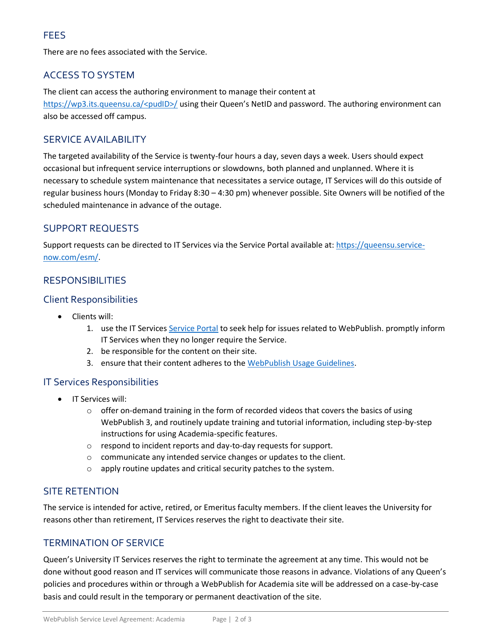# FEES

There are no fees associated with the Service.

# ACCESS TO SYSTEM

The client can access the authoring environment to manage their content at [https://wp3.its.queensu.ca/<pudID>/](https://wp3.its.queensu.ca/%3cpudID%3e/) using their Queen's NetID and password. The authoring environment can also be accessed off campus.

#### SERVICE AVAILABILITY

The targeted availability of the Service is twenty-four hours a day, seven days a week. Users should expect occasional but infrequent service interruptions or slowdowns, both planned and unplanned. Where it is necessary to schedule system maintenance that necessitates a service outage, IT Services will do this outside of regular business hours (Monday to Friday 8:30 – 4:30 pm) whenever possible. Site Owners will be notified of the scheduled maintenance in advance of the outage.

# SUPPORT REQUESTS

Support requests can be directed to IT Services via the Service Portal available at: [https://queensu.service](https://queensu.service-now.com/esm/)[now.com/esm/.](https://queensu.service-now.com/esm/)

## **RESPONSIBILITIES**

#### Client Responsibilities

- Clients will:
	- 1. use the IT Services [Service Portal](https://queensu.service-now.com/esm/) to seek help for issues related to WebPublish. promptly inform IT Services when they no longer require the Service.
	- 2. be responsible for the content on their site.
	- 3. ensure that their content adheres to the [WebPublish Usage Guidelines.](https://queensu.ca/webpublish/about/usage-guidelines)

#### IT Services Responsibilities

- IT Services will:
	- $\circ$  offer on-demand training in the form of recorded videos that covers the basics of using WebPublish 3, and routinely update training and tutorial information, including step-by-step instructions for using Academia-specific features.
	- o respond to incident reports and day-to-day requests for support.
	- o communicate any intended service changes or updates to the client.
	- o apply routine updates and critical security patches to the system.

#### SITE RETENTION

The service is intended for active, retired, or Emeritus faculty members. If the client leaves the University for reasons other than retirement, IT Services reserves the right to deactivate their site.

#### TERMINATION OF SERVICE

Queen's University IT Services reserves the right to terminate the agreement at any time. This would not be done without good reason and IT services will communicate those reasons in advance. Violations of any Queen's policies and procedures within or through a WebPublish for Academia site will be addressed on a case-by-case basis and could result in the temporary or permanent deactivation of the site.